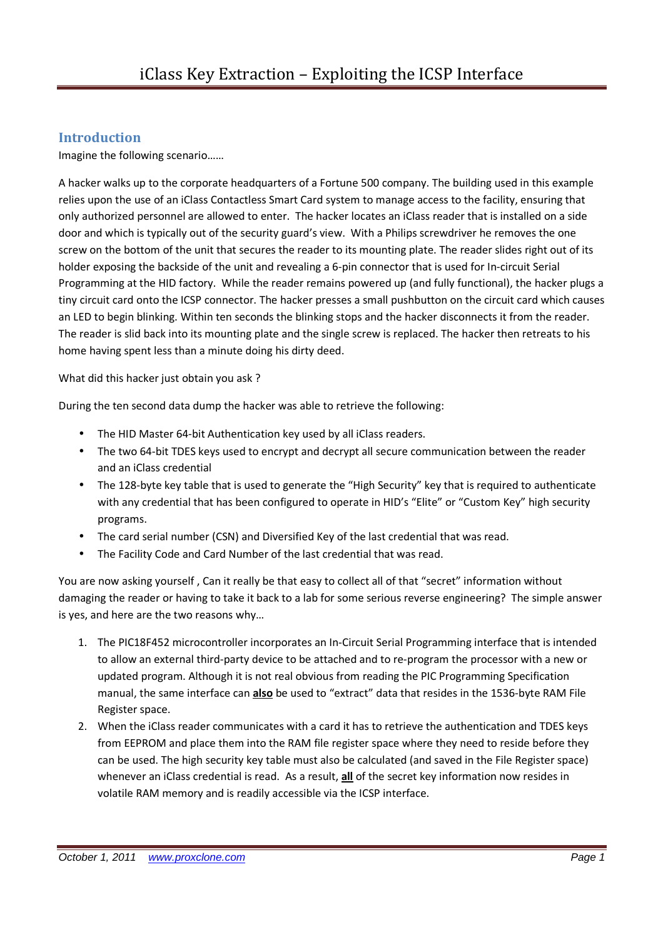#### **Introduction**

Imagine the following scenario……

A hacker walks up to the corporate headquarters of a Fortune 500 company. The building used in this example relies upon the use of an iClass Contactless Smart Card system to manage access to the facility, ensuring that only authorized personnel are allowed to enter. The hacker locates an iClass reader that is installed on a side door and which is typically out of the security guard's view. With a Philips screwdriver he removes the one screw on the bottom of the unit that secures the reader to its mounting plate. The reader slides right out of its holder exposing the backside of the unit and revealing a 6-pin connector that is used for In-circuit Serial Programming at the HID factory. While the reader remains powered up (and fully functional), the hacker plugs a tiny circuit card onto the ICSP connector. The hacker presses a small pushbutton on the circuit card which causes an LED to begin blinking. Within ten seconds the blinking stops and the hacker disconnects it from the reader. The reader is slid back into its mounting plate and the single screw is replaced. The hacker then retreats to his home having spent less than a minute doing his dirty deed.

What did this hacker just obtain you ask ?

During the ten second data dump the hacker was able to retrieve the following:

- The HID Master 64-bit Authentication key used by all iClass readers.
- The two 64-bit TDES keys used to encrypt and decrypt all secure communication between the reader and an iClass credential
- The 128-byte key table that is used to generate the "High Security" key that is required to authenticate with any credential that has been configured to operate in HID's "Elite" or "Custom Key" high security programs.
- The card serial number (CSN) and Diversified Key of the last credential that was read.
- The Facility Code and Card Number of the last credential that was read.

You are now asking yourself , Can it really be that easy to collect all of that "secret" information without damaging the reader or having to take it back to a lab for some serious reverse engineering? The simple answer is yes, and here are the two reasons why…

- 1. The PIC18F452 microcontroller incorporates an In-Circuit Serial Programming interface that is intended to allow an external third-party device to be attached and to re-program the processor with a new or updated program. Although it is not real obvious from reading the PIC Programming Specification manual, the same interface can **also** be used to "extract" data that resides in the 1536-byte RAM File Register space.
- 2. When the iClass reader communicates with a card it has to retrieve the authentication and TDES keys from EEPROM and place them into the RAM file register space where they need to reside before they can be used. The high security key table must also be calculated (and saved in the File Register space) whenever an iClass credential is read. As a result, **all** of the secret key information now resides in volatile RAM memory and is readily accessible via the ICSP interface.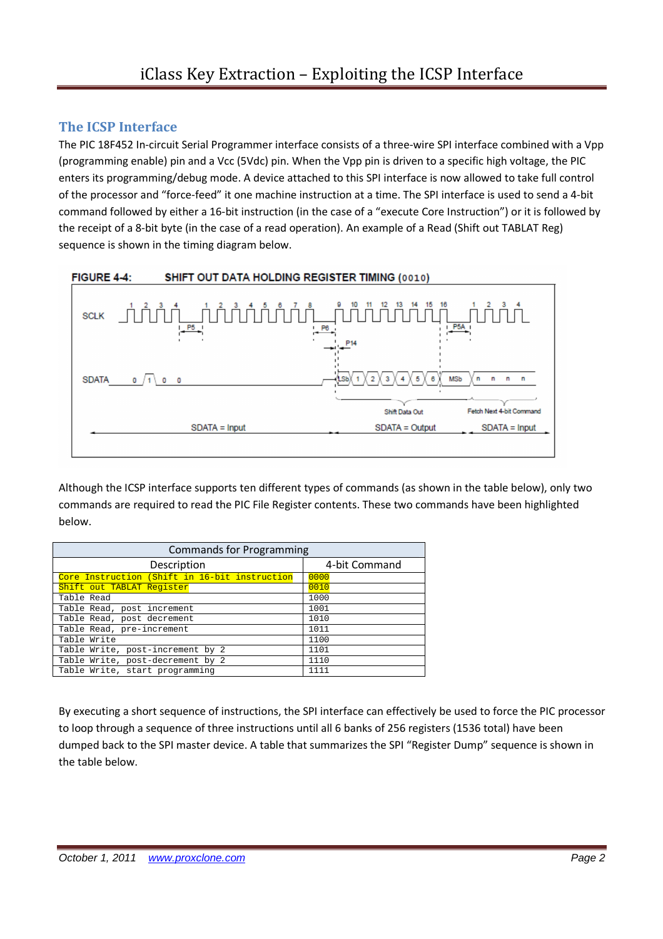### **The ICSP Interface**

The PIC 18F452 In-circuit Serial Programmer interface consists of a three-wire SPI interface combined with a Vpp (programming enable) pin and a Vcc (5Vdc) pin. When the Vpp pin is driven to a specific high voltage, the PIC enters its programming/debug mode. A device attached to this SPI interface is now allowed to take full control of the processor and "force-feed" it one machine instruction at a time. The SPI interface is used to send a 4-bit command followed by either a 16-bit instruction (in the case of a "execute Core Instruction") or it is followed by the receipt of a 8-bit byte (in the case of a read operation). An example of a Read (Shift out TABLAT Reg) sequence is shown in the timing diagram below.



Although the ICSP interface supports ten different types of commands (as shown in the table below), only two commands are required to read the PIC File Register contents. These two commands have been highlighted below.

| <b>Commands for Programming</b>               |               |  |  |  |
|-----------------------------------------------|---------------|--|--|--|
| Description                                   | 4-bit Command |  |  |  |
| Core Instruction (Shift in 16-bit instruction | 0000          |  |  |  |
| Shift out TABLAT Register                     | 0010          |  |  |  |
| Table Read                                    | 1000          |  |  |  |
| Table Read, post increment                    | 1001          |  |  |  |
| Table Read, post decrement                    | 1010          |  |  |  |
| Table Read, pre-increment                     | 1011          |  |  |  |
| Table Write                                   | 1100          |  |  |  |
| Table Write, post-increment by 2              | 1101          |  |  |  |
| Table Write, post-decrement by 2              | 1110          |  |  |  |
| Table Write, start programming                | 1111          |  |  |  |

By executing a short sequence of instructions, the SPI interface can effectively be used to force the PIC processor to loop through a sequence of three instructions until all 6 banks of 256 registers (1536 total) have been dumped back to the SPI master device. A table that summarizes the SPI "Register Dump" sequence is shown in the table below.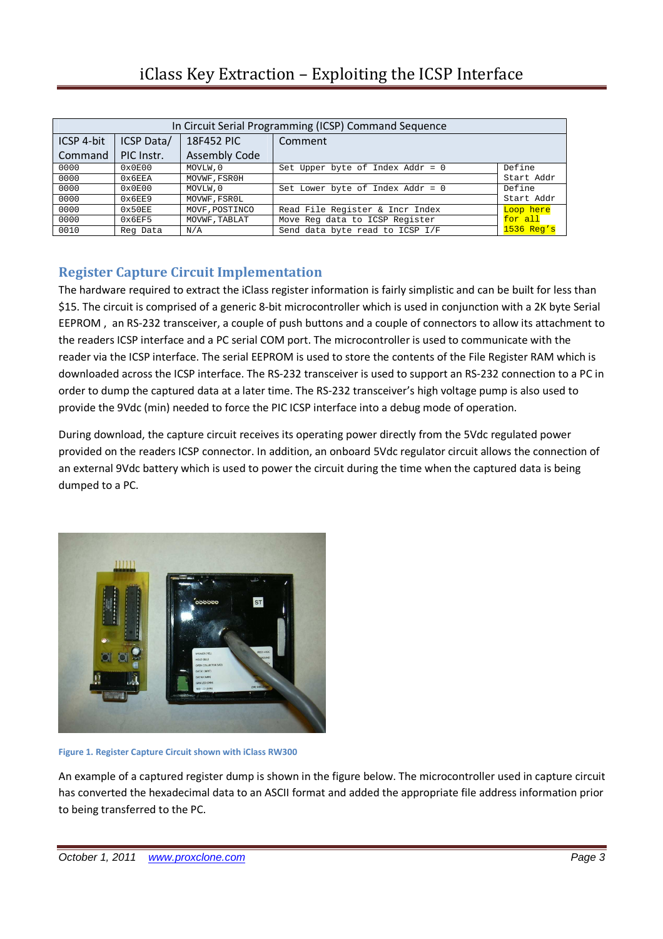# iClass Key Extraction – Exploiting the ICSP Interface

| In Circuit Serial Programming (ICSP) Command Sequence |            |                      |                                    |              |
|-------------------------------------------------------|------------|----------------------|------------------------------------|--------------|
| ICSP 4-bit                                            | ICSP Data/ | 18F452 PIC           | Comment                            |              |
| Command                                               | PIC Instr. | <b>Assembly Code</b> |                                    |              |
| 0000                                                  | 0x0E00     | MOVLW, 0             | Set Upper byte of Index Addr = $0$ | Define       |
| 0000                                                  | 0x6EEA     | MOVWF, FSROH         |                                    | Start Addr   |
| 0000                                                  | 0x0E00     | MOVLW.0              | Set Lower byte of Index Addr = $0$ | Define       |
| 0000                                                  | 0x6EE9     | MOVWF, FSROL         |                                    | Start Addr   |
| 0000                                                  | 0x50EE     | MOVF, POSTINCO       | Read File Register & Incr Index    | Loop here    |
| 0000                                                  | 0x6EF5     | MOVWF, TABLAT        | Move Reg data to ICSP Register     | for all      |
| 0010                                                  | Reg Data   | N/A                  | Send data byte read to ICSP I/F    | $1536$ Req's |

### **Register Capture Circuit Implementation**

The hardware required to extract the iClass register information is fairly simplistic and can be built for less than \$15. The circuit is comprised of a generic 8-bit microcontroller which is used in conjunction with a 2K byte Serial EEPROM , an RS-232 transceiver, a couple of push buttons and a couple of connectors to allow its attachment to the readers ICSP interface and a PC serial COM port. The microcontroller is used to communicate with the reader via the ICSP interface. The serial EEPROM is used to store the contents of the File Register RAM which is downloaded across the ICSP interface. The RS-232 transceiver is used to support an RS-232 connection to a PC in order to dump the captured data at a later time. The RS-232 transceiver's high voltage pump is also used to provide the 9Vdc (min) needed to force the PIC ICSP interface into a debug mode of operation.

During download, the capture circuit receives its operating power directly from the 5Vdc regulated power provided on the readers ICSP connector. In addition, an onboard 5Vdc regulator circuit allows the connection of an external 9Vdc battery which is used to power the circuit during the time when the captured data is being dumped to a PC.



**Figure 1. Register Capture Circuit shown with iClass RW300** 

An example of a captured register dump is shown in the figure below. The microcontroller used in capture circuit has converted the hexadecimal data to an ASCII format and added the appropriate file address information prior to being transferred to the PC.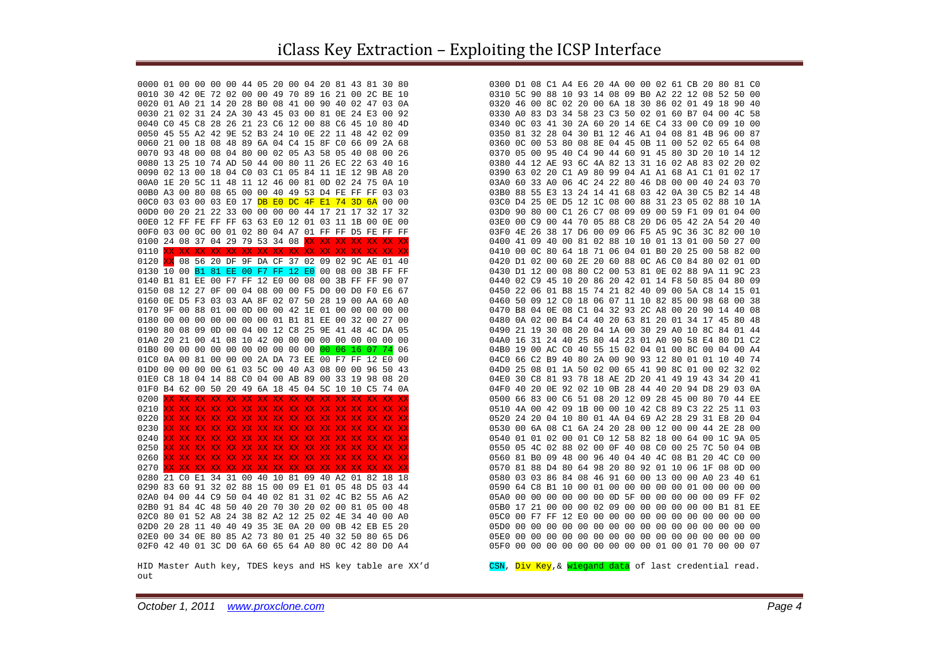HID Master Auth key, TDES keys and HS key table are XX'd out

CSN, Div Key, & wiegand data of last credential read.